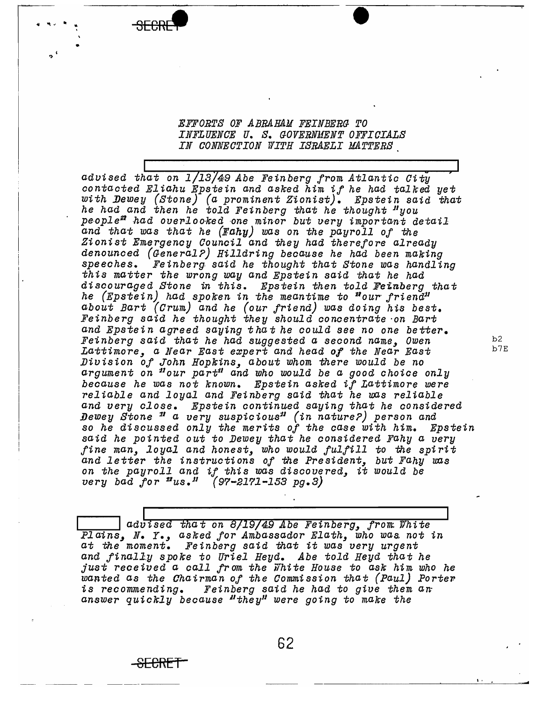## *EFFORTS OF ABRAHAM FEINBERG TO INFLUENOE U. S. GOVERNAfENT OFFICIALS IN aONNEOTION "WITH ISRAELI HATTERS*

 $\overline{\bullet}$ 

**SECRET** 

*advised that on 1 13* 49 *Abe Feinberg from Atlantic Oity contacted Eliahu Epstein and asked him if he had talked yet With Dewey (Stone) (a prominent* Z~onist). *Epstein said that he had and then he told Feinberg that he thought "you"*<br>people" had overlooked one minor but very important detail *and that was that he (Eahy) was on the payroll Of the Zionist Emergency Oounoil and they had therefore already denounced (General?) Hilldring because he had been making speeches. Feinberg said he thought that Stone was handling this matter the wrong way and Epstein said that he had discouraged Stone in this. Epstein then told Feinberg that he (Epstein) had spoken in the meantime to "our friend*" *about Bart (Orum) and he (our friend) was doing his best. Feinberg said he thought they should concentrate 'on Bart and Epste in agreed saying* t *ha* t *he* 00 *uld see no one be tter. Fetnberg said that he had suggested a second name, Owen* b2 Lattimore, a Near East expert and head of the Near East *Bivision oj John Hopkins, about Whom there would be no*  argument on "our part" and who would be a good choice only *because he was not known. Epstein asked it Lattimore were reliable and loyal and Feinberg said that he was reliable and very olose. Epstein continued saying that he considered Dewey Stone n a very suspiciousn (in nature?) person and*  so *he dtsoussed only the merits Of the oase with him. Epstein said he pointed out* to *Dewey that he oonsidered Fahy a very line man, loyal and honest, who would jul/ill* to *the spirit and letter the instructions Of the PreSident, but Fahy was on the payroll and* i! *this was discovered,* it *would be very bad jor BUS.R (97-2171-153 pg.3)* 

advised that on 8/19/49 *Abe Feinberg, from White* Plains, N. Y., asked for Ambassador Elath, who was not in *at the moment. Feinberg said that* it *was very urgent and jinall.y spoke* to *Uriel Heyd. Abe told Heyd that he just received a oall trom the Fhite House* to *ask him who he warted as the Chairman of the Commission that (Paul) Porter* is recommending. Feinberg said he had to give them an answer quickly because "they" were going to make the

I, • - ~-- - ------

<del>SECRET</del>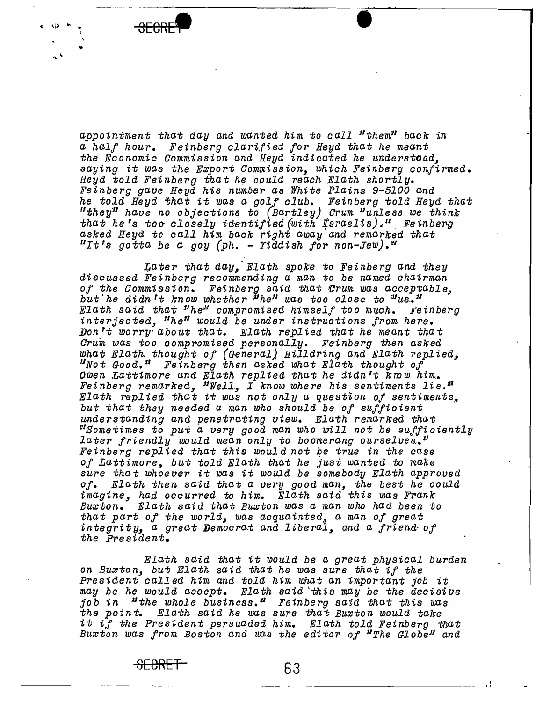

"J> .. " ,

> appointment that day and wanted him to call "them" back in *a hal! hour. Feinberg clarilied lor Heyd that he meant*  the Economic Commission and Heyd indicated he understood. *saying* it *was the* E~port *Oommission, which Feinberg conftrmed.*  Heyd told Feinberg that he could reach Elath shortly. *Feinberg gave Heyd hts number as White Plains 9-5100 and he told Heyd that* it *was a golf club. Feinberg told Heyd that "they*1J *have no objeotions* to *(Bartley) arum l1unles8 we think that he's too closely identified (with fsraelis).*<sup>If</sup> Feinberg *asked Heyd to oall him baok right away and remarked that*  .urt's *gotta be a goy (ph.* - *Yiddtsh lor non-Jew) .'1*

> ~ater *that day,' Elath spoke* to *Fetnberg and they discussed Feinberg reoommending a man* to *be named ohairman Of the Oommission.. Feinberg said that Crum was acoeptable, but* I *he didn't know whether 1JheJJ was too olose* to i"US.• 'J/ *Elath said that uhe*ll *compromised htmself too muoh. Feinberg*  interjected. "he<sup>n</sup> would be under instructions from here. ~ontt *worry' about that. Elath replied that he meant that arum was too oompromised personalLy. Feinberg then asked*  what Elath thought of (General) Hilldring and Elath replied, *UNot Good. u Fetnberg then asked what Elath thought of OiDen Lattimore and Elath replied that he didn't know him.•*  Feinberg remarked, <sup>n</sup>Well, I know where his sentiments lie.<sup>21</sup>  $E$ lath replied that it was not only a question of sentiments, *but that they needed a man who should be* 0/ *sUI/iotent understanding and penetrating view. Elath remarked that nSometimes* to *put a very good man who will not be sUllictently later friendly would mean only to boomerang ourselves.*<sup>"</sup> *Feinberg repl ied that this woul d not Qe true in the oase Of Lattimore, but told Elath that he just wanted* to *make sure that whoever* it *was* it *would be somebody Elath approved Of. Elath then said that a very good man, the best he could imagine, had ocourred to him. Elath said this was FranK* Bu~ton. *Elath said that* Bu~ton was *a man who had been* to *that part Of the world, was acquatnted, a man Of great*  integrity, a great Democrat and liberal, and a friend of *the President.*

*Elath said that* it *would be a great physioal burden*  on Buxton, but Elath said that he was sure that if the *President oalled him and told him what an important job* it *may be he would acoept. Elath said 'this may be the decisive job in "lJthe Whole business.* 11 *Feinberg said that this* uns. *the point.* Elath said he was sure that Buxton would take it *if the President persuaded him. Elath told Feinberg that Buxton was from Boston and was the editor of "The Globe" and* 

SECRET 63 , ------ --- • l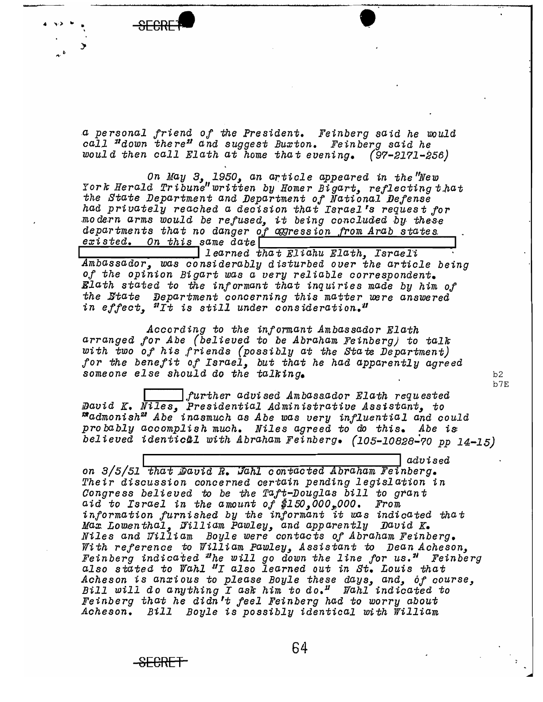

<del>SECRET</del>

a personal friend of the President. Feinberg said he would call "down there" and suggest Burton. Feinberg said he would then call Elath at home that evening.  $(97-2171-256)$ 

On May 3, 1950, an article appeared in the New York Herald Tribune" written by Homer Bigart, reflecting that the State Department and Department of National Defense had privately reached a decision that Israel's request for modern arms would be refused, it being concluded by these departments that no danger of agression from Arab states existed. On this same date

learned that Eliahu Elath, Israeli Ambassador, was considerably disturbed over the article being of the opinion Bigart was a very reliable correspondent. Elath stated to the informant that inquiries made by him of the State Department concerning this matter were answered in effect, "It is still under consideration."

According to the informant Ambassador Elath arranged for Abe (believed to be Abraham Feinberg) to talk with two of his friends (possibly at the State Department) for the benefit of Israel, but that he had apparently agreed someone else should do the talking.

further advised Ambassador Elath requested David K. Niles, Presidential Administrative Assistant, to<br>"admonish" Abe inasmuch as Abe was very influential and could probably accomplish much. Niles agreed to do this. Abe is believed identical with Abraham Feinberg. (105-10828-70 pp 14-15)

advised on 3/5/51 that David R. Jahl contacted Abraham Feinberg. Their discussion concerned certain pending legislation in Congress believed to be the Taft-Douglas bill to grant aid to Israel in the amount of  $#150,000,000$ . From information furnished by the informant it was indicated that Max Lowenthal, Filliam Pawley, and apparently David K. Niles and Tilliam Boyle were contacts of Abraham Feinberg. With reference to William Pawley, Assistant to Dean Acheson, Feinberg indicated "he will go down the line for us." Feinberg also stated to Wahl "I also learned out in St. Louis that Acheson is anxious to please Boyle these days, and, of course, Bill will do anything I ask him to do." Wahl indicated to Feinberg that he didn't feel Feinberg had to worry about Acheson. Bill Boyle is possibly identical with William

 $b2$ b7E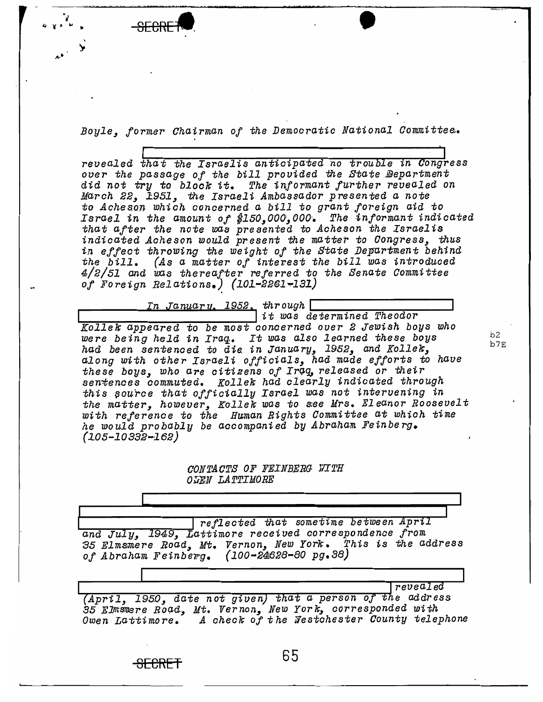Boyle, former Chairman of the Democratic National Committee.

revealed that the Israelis anticipated no trouble in Congress over the passage of the bill provided the State Department did not try to block it. The informant further revealed on March 22, 1951, the Israeli Ambassador presented a note to Acheson which concerned a bill to grant foreign aid to Israel in the amount of  $#150,000,000$ . The informant indicated<br>that after the note was presented to Acheson the Israelis<br>indicated Acheson would present the matter to Congress, thus in effect throwing the weight of the State Department behind the bill. (As a matter of interest the bill was introduced  $4/2/51$  and was thereafter referred to the Senate Committee of Foreign Relations.) (101-2261-131)

<u>In January, 1952,</u> through [

it was determined Theodor Kollek appeared to be most concerned over 2 Jewish boys who were being held in Iraq. It was also learned these boys had been sentenced to die in January, 1952, and Kollek,<br>along with other Israeli officials, had made efforts to have these boys, who are citizens of Iraq, released or their sentences commuted. Kollek had clearly indicated through this source that officially Israel was not intervening in the matter, however, Kollek was to see Mrs. Eleanor Roosevelt with reference to the Human Rights Committee at which time he would probably be accompanied by Abraham Feinberg.  $(105 - 10332 - 162)$ 

> CONTACTS OF FEINBERG WITH OGEN LATTIMORE

reflected that sometime between April and July, 1949, Lattimore received correspondence from 35 Elmsmere Road, Mt. Vernon, New York. This is the address of Abraham Feinberg.  $(100 - 24628 - 30 \text{ pg.}38)$ 

revealed (April, 1950, date not given) that a person of the address<br>35 Elmsmere Road, Mt. Vernon, New York, corresponded with

Owen Lattimore. A check of the Westchester County telephone

 $h<sub>2</sub>$ b7E